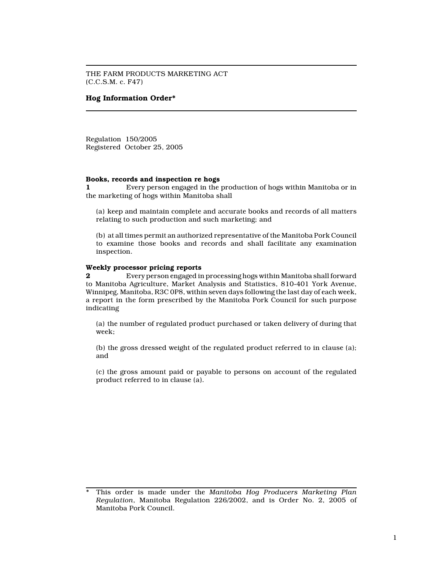THE FARM PRODUCTS MARKETING ACT (C.C.S.M. c. F47)

# Hog Information Order\*

Regulation 150/2005 Registered October 25, 2005

## Books, records and inspection re hogs

1 Every person engaged in the production of hogs within Manitoba or in the marketing of hogs within Manitoba shall

(a) keep and maintain complete and accurate books and records of all matters relating to such production and such marketing; and

(b) at all times permit an authorized representative of the Manitoba Pork Council to examine those books and records and shall facilitate any examination inspection.

#### Weekly processor pricing reports

2 Every person engaged in processing hogs within Manitoba shall forward to Manitoba Agriculture, Market Analysis and Statistics, 810-401 York Avenue, Winnipeg, Manitoba, R3C 0P8, within seven days following the last day of each week, a report in the form prescribed by the Manitoba Pork Council for such purpose indicating

(a) the number of regulated product purchased or taken delivery of during that week;

(b) the gross dressed weight of the regulated product referred to in clause (a); and

(c) the gross amount paid or payable to persons on account of the regulated product referred to in clause (a).

This order is made under the Manitoba Hog Producers Marketing Plan Regulation, Manitoba Regulation 226/2002, and is Order No. 2, 2005 of Manitoba Pork Council.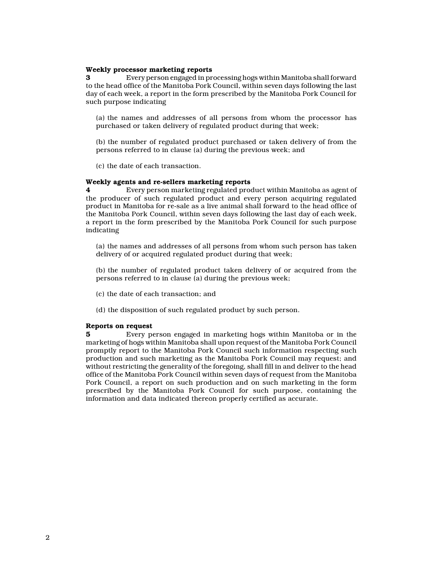## Weekly processor marketing reports

3 Every person engaged in processing hogs within Manitoba shall forward to the head office of the Manitoba Pork Council, within seven days following the last day of each week, a report in the form prescribed by the Manitoba Pork Council for such purpose indicating

(a) the names and addresses of all persons from whom the processor has purchased or taken delivery of regulated product during that week;

(b) the number of regulated product purchased or taken delivery of from the persons referred to in clause (a) during the previous week; and

(c) the date of each transaction.

### Weekly agents and re-sellers marketing reports

4 Every person marketing regulated product within Manitoba as agent of the producer of such regulated product and every person acquiring regulated product in Manitoba for re-sale as a live animal shall forward to the head office of the Manitoba Pork Council, within seven days following the last day of each week, a report in the form prescribed by the Manitoba Pork Council for such purpose indicating

(a) the names and addresses of all persons from whom such person has taken delivery of or acquired regulated product during that week;

(b) the number of regulated product taken delivery of or acquired from the persons referred to in clause (a) during the previous week;

- (c) the date of each transaction; and
- (d) the disposition of such regulated product by such person.

#### Reports on request

5 Every person engaged in marketing hogs within Manitoba or in the marketing of hogs within Manitoba shall upon request of the Manitoba Pork Council promptly report to the Manitoba Pork Council such information respecting such production and such marketing as the Manitoba Pork Council may request; and without restricting the generality of the foregoing, shall fill in and deliver to the head office of the Manitoba Pork Council within seven days of request from the Manitoba Pork Council, a report on such production and on such marketing in the form prescribed by the Manitoba Pork Council for such purpose, containing the information and data indicated thereon properly certified as accurate.